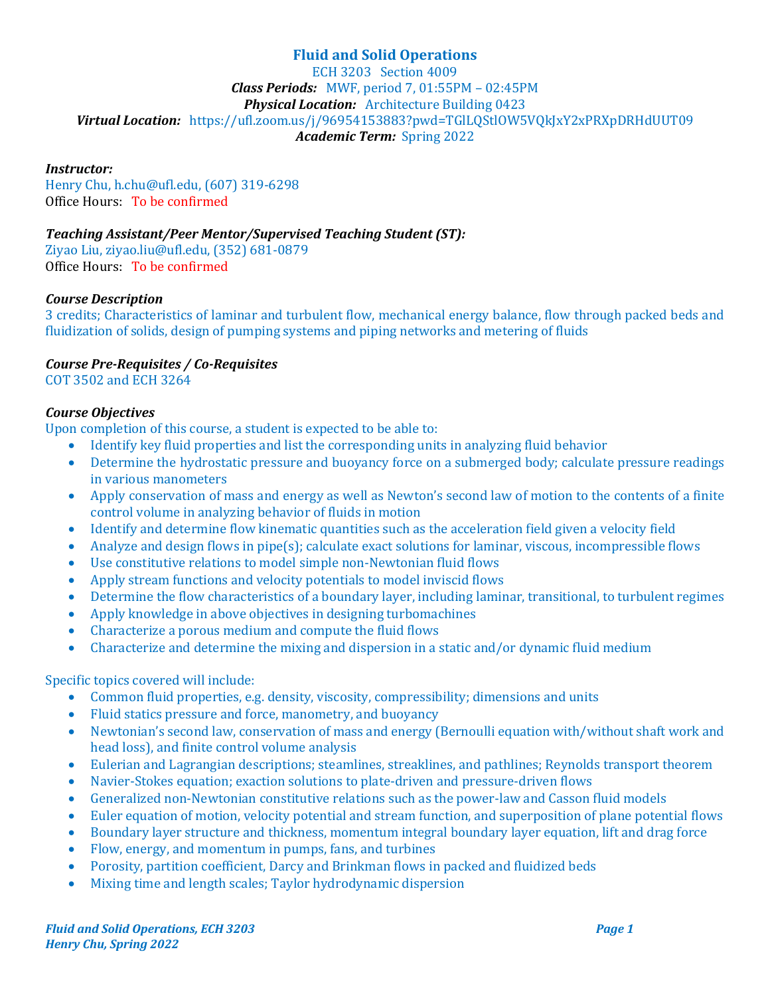# **Fluid and Solid Operations**

**ECH 3203** Section 4009 *Class Periods:* MWF, period 7, 01:55PM – 02:45PM **Physical Location:** Architecture Building 0423 Virtual Location: https://ufl.zoom.us/j/96954153883?pwd=TGlLQStlOW5VQkJxY2xPRXpDRHdUUT09 Academic Term: Spring 2022

### *Instructor:*

Henry Chu, h.chu@ufl.edu, (607) 319-6298 Office Hours: To be confirmed

## *Teaching Assistant/Peer Mentor/Supervised Teaching Student (ST):*

Ziyao Liu, ziyao.liu@ufl.edu, (352) 681-0879 Office Hours: To be confirmed

#### *Course Description*

3 credits; Characteristics of laminar and turbulent flow, mechanical energy balance, flow through packed beds and fluidization of solids, design of pumping systems and piping networks and metering of fluids

#### *Course Pre-Requisites / Co-Requisites*

COT 3502 and ECH 3264

#### *Course Objectives*

Upon completion of this course, a student is expected to be able to:

- Identify key fluid properties and list the corresponding units in analyzing fluid behavior
- Determine the hydrostatic pressure and buoyancy force on a submerged body; calculate pressure readings in various manometers
- Apply conservation of mass and energy as well as Newton's second law of motion to the contents of a finite control volume in analyzing behavior of fluids in motion
- Identify and determine flow kinematic quantities such as the acceleration field given a velocity field
- Analyze and design flows in pipe(s); calculate exact solutions for laminar, viscous, incompressible flows
- Use constitutive relations to model simple non-Newtonian fluid flows
- Apply stream functions and velocity potentials to model inviscid flows
- Determine the flow characteristics of a boundary layer, including laminar, transitional, to turbulent regimes
- Apply knowledge in above objectives in designing turbomachines
- Characterize a porous medium and compute the fluid flows
- Characterize and determine the mixing and dispersion in a static and/or dynamic fluid medium

#### Specific topics covered will include:

- Common fluid properties, e.g. density, viscosity, compressibility; dimensions and units
- Fluid statics pressure and force, manometry, and buoyancy
- Newtonian's second law, conservation of mass and energy (Bernoulli equation with/without shaft work and head loss), and finite control volume analysis
- Eulerian and Lagrangian descriptions; steamlines, streaklines, and pathlines; Reynolds transport theorem
- Navier-Stokes equation; exaction solutions to plate-driven and pressure-driven flows
- Generalized non-Newtonian constitutive relations such as the power-law and Casson fluid models
- Euler equation of motion, velocity potential and stream function, and superposition of plane potential flows
- Boundary layer structure and thickness, momentum integral boundary layer equation, lift and drag force
- Flow, energy, and momentum in pumps, fans, and turbines
- Porosity, partition coefficient, Darcy and Brinkman flows in packed and fluidized beds
- Mixing time and length scales; Taylor hydrodynamic dispersion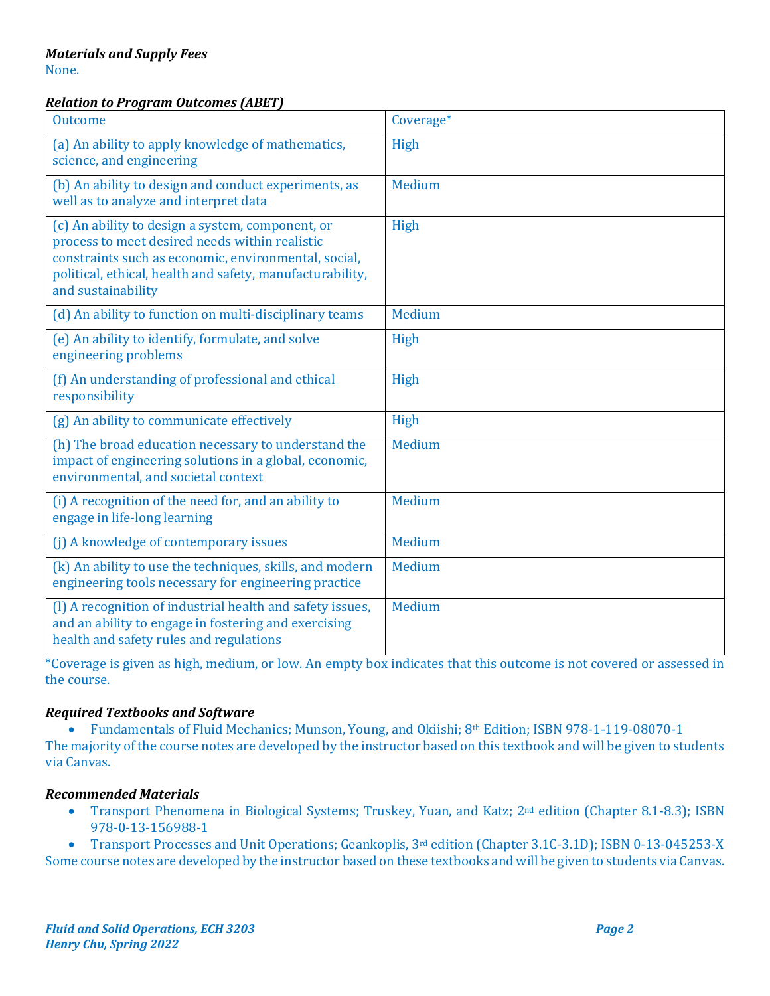#### *Relation to Program Outcomes (ABET)*

| <b>Outcome</b>                                                                                                                                                                                                                                | Coverage*     |
|-----------------------------------------------------------------------------------------------------------------------------------------------------------------------------------------------------------------------------------------------|---------------|
| (a) An ability to apply knowledge of mathematics,<br>science, and engineering                                                                                                                                                                 | High          |
| (b) An ability to design and conduct experiments, as<br>well as to analyze and interpret data                                                                                                                                                 | Medium        |
| (c) An ability to design a system, component, or<br>process to meet desired needs within realistic<br>constraints such as economic, environmental, social,<br>political, ethical, health and safety, manufacturability,<br>and sustainability | High          |
| (d) An ability to function on multi-disciplinary teams                                                                                                                                                                                        | Medium        |
| (e) An ability to identify, formulate, and solve<br>engineering problems                                                                                                                                                                      | High          |
| (f) An understanding of professional and ethical<br>responsibility                                                                                                                                                                            | High          |
| (g) An ability to communicate effectively                                                                                                                                                                                                     | High          |
| (h) The broad education necessary to understand the<br>impact of engineering solutions in a global, economic,<br>environmental, and societal context                                                                                          | Medium        |
| (i) A recognition of the need for, and an ability to<br>engage in life-long learning                                                                                                                                                          | Medium        |
| (j) A knowledge of contemporary issues                                                                                                                                                                                                        | <b>Medium</b> |
| (k) An ability to use the techniques, skills, and modern<br>engineering tools necessary for engineering practice                                                                                                                              | Medium        |
| (I) A recognition of industrial health and safety issues,<br>and an ability to engage in fostering and exercising<br>health and safety rules and regulations                                                                                  | Medium        |

\*Coverage is given as high, medium, or low. An empty box indicates that this outcome is not covered or assessed in the course.

## *Required Textbooks and Software*

• Fundamentals of Fluid Mechanics; Munson, Young, and Okiishi; 8<sup>th</sup> Edition; ISBN 978-1-119-08070-1

The majority of the course notes are developed by the instructor based on this textbook and will be given to students via Canvas.

## *Recommended Materials*

• Transport Phenomena in Biological Systems; Truskey, Yuan, and Katz; 2<sup>nd</sup> edition (Chapter 8.1-8.3); ISBN 978-0-13-156988-1

• Transport Processes and Unit Operations; Geankoplis, 3<sup>rd</sup> edition (Chapter 3.1C-3.1D); ISBN 0-13-045253-X Some course notes are developed by the instructor based on these textbooks and will be given to students via Canvas.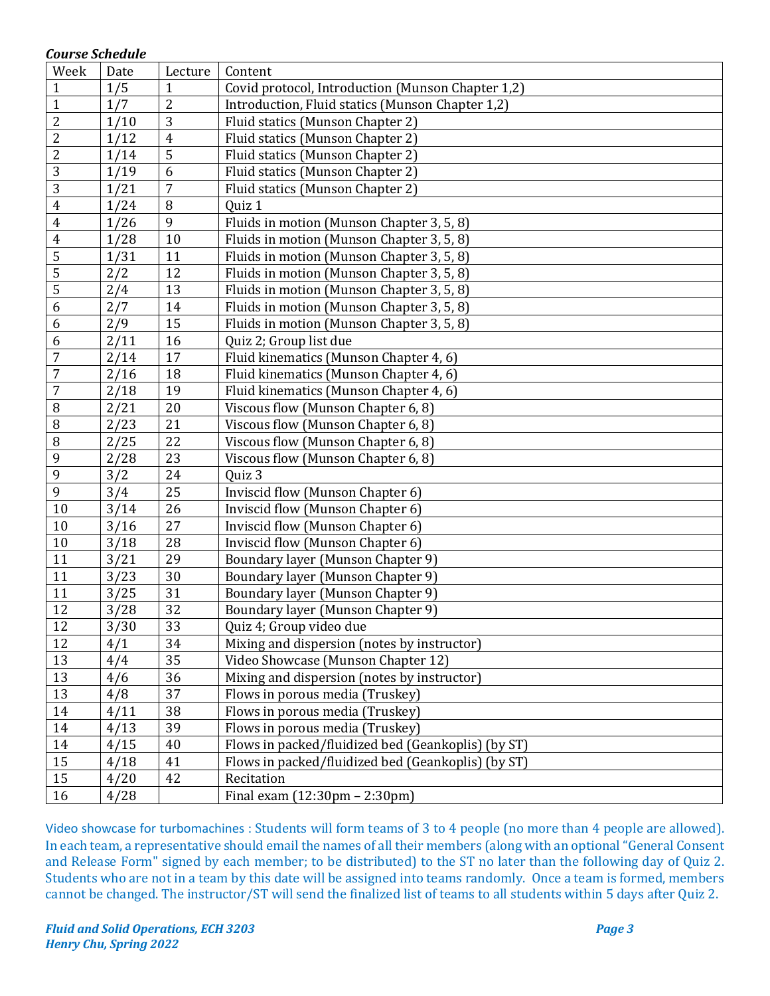#### *Course Schedule*

| Week                    | Date | Lecture         | Content                                            |
|-------------------------|------|-----------------|----------------------------------------------------|
| $\mathbf{1}$            | 1/5  | $\mathbf{1}$    | Covid protocol, Introduction (Munson Chapter 1,2)  |
| $\mathbf{1}$            | 1/7  | $\overline{c}$  | Introduction, Fluid statics (Munson Chapter 1,2)   |
| $\overline{2}$          | 1/10 | 3               | Fluid statics (Munson Chapter 2)                   |
| $\overline{2}$          | 1/12 | $\overline{4}$  | Fluid statics (Munson Chapter 2)                   |
| $\overline{c}$          | 1/14 | $\overline{5}$  | Fluid statics (Munson Chapter 2)                   |
| 3                       | 1/19 | 6               | Fluid statics (Munson Chapter 2)                   |
| $\overline{3}$          | 1/21 | $\overline{7}$  | Fluid statics (Munson Chapter 2)                   |
| $\overline{\mathbf{4}}$ | 1/24 | 8               | Quiz 1                                             |
| $\overline{4}$          | 1/26 | 9               | Fluids in motion (Munson Chapter 3, 5, 8)          |
| $\overline{\mathbf{4}}$ | 1/28 | 10              | Fluids in motion (Munson Chapter 3, 5, 8)          |
| $\overline{5}$          | 1/31 | 11              | Fluids in motion (Munson Chapter 3, 5, 8)          |
| $\overline{5}$          | 2/2  | 12              | Fluids in motion (Munson Chapter 3, 5, 8)          |
| $\overline{5}$          | 2/4  | 13              | Fluids in motion (Munson Chapter 3, 5, 8)          |
| 6                       | 2/7  | 14              | Fluids in motion (Munson Chapter 3, 5, 8)          |
| $6\,$                   | 2/9  | 15              | Fluids in motion (Munson Chapter 3, 5, 8)          |
| 6                       | 2/11 | 16              | Quiz 2; Group list due                             |
| $\overline{7}$          | 2/14 | 17              | Fluid kinematics (Munson Chapter 4, 6)             |
| $\overline{7}$          | 2/16 | 18              | Fluid kinematics (Munson Chapter 4, 6)             |
| $\overline{7}$          | 2/18 | 19              | Fluid kinematics (Munson Chapter 4, 6)             |
| $\, 8$                  | 2/21 | 20              | Viscous flow (Munson Chapter 6, 8)                 |
| $\, 8$                  | 2/23 | 21              | Viscous flow (Munson Chapter 6, 8)                 |
| $\, 8$                  | 2/25 | 22              | Viscous flow (Munson Chapter 6, 8)                 |
| 9                       | 2/28 | 23              | Viscous flow (Munson Chapter 6, 8)                 |
| 9                       | 3/2  | 24              | Quiz 3                                             |
| 9                       | 3/4  | 25              | Inviscid flow (Munson Chapter 6)                   |
| $10\,$                  | 3/14 | 26              | Inviscid flow (Munson Chapter 6)                   |
| 10                      | 3/16 | 27              | Inviscid flow (Munson Chapter 6)                   |
| 10                      | 3/18 | 28              | Inviscid flow (Munson Chapter 6)                   |
| 11                      | 3/21 | 29              | Boundary layer (Munson Chapter 9)                  |
| 11                      | 3/23 | 30              | Boundary layer (Munson Chapter 9)                  |
| 11                      | 3/25 | 31              | Boundary layer (Munson Chapter 9)                  |
| 12                      | 3/28 | 32              | Boundary layer (Munson Chapter 9)                  |
| $\overline{12}$         | 3/30 | $\overline{33}$ | Quiz 4; Group video due                            |
| 12                      | 4/1  | 34              | Mixing and dispersion (notes by instructor)        |
| 13                      | 4/4  | 35              | Video Showcase (Munson Chapter 12)                 |
| 13                      | 4/6  | 36              | Mixing and dispersion (notes by instructor)        |
| 13                      | 4/8  | 37              | Flows in porous media (Truskey)                    |
| 14                      | 4/11 | 38              | Flows in porous media (Truskey)                    |
| 14                      | 4/13 | 39              | Flows in porous media (Truskey)                    |
| 14                      | 4/15 | 40              | Flows in packed/fluidized bed (Geankoplis) (by ST) |
| 15                      | 4/18 | 41              | Flows in packed/fluidized bed (Geankoplis) (by ST) |
| 15                      | 4/20 | 42              | Recitation                                         |
| 16                      | 4/28 |                 | Final exam $(12:30 \text{pm} - 2:30 \text{pm})$    |

Video showcase for turbomachines : Students will form teams of 3 to 4 people (no more than 4 people are allowed). In each team, a representative should email the names of all their members (along with an optional "General Consent and Release Form" signed by each member; to be distributed) to the ST no later than the following day of Quiz 2. Students who are not in a team by this date will be assigned into teams randomly. Once a team is formed, members cannot be changed. The instructor/ST will send the finalized list of teams to all students within 5 days after Quiz 2.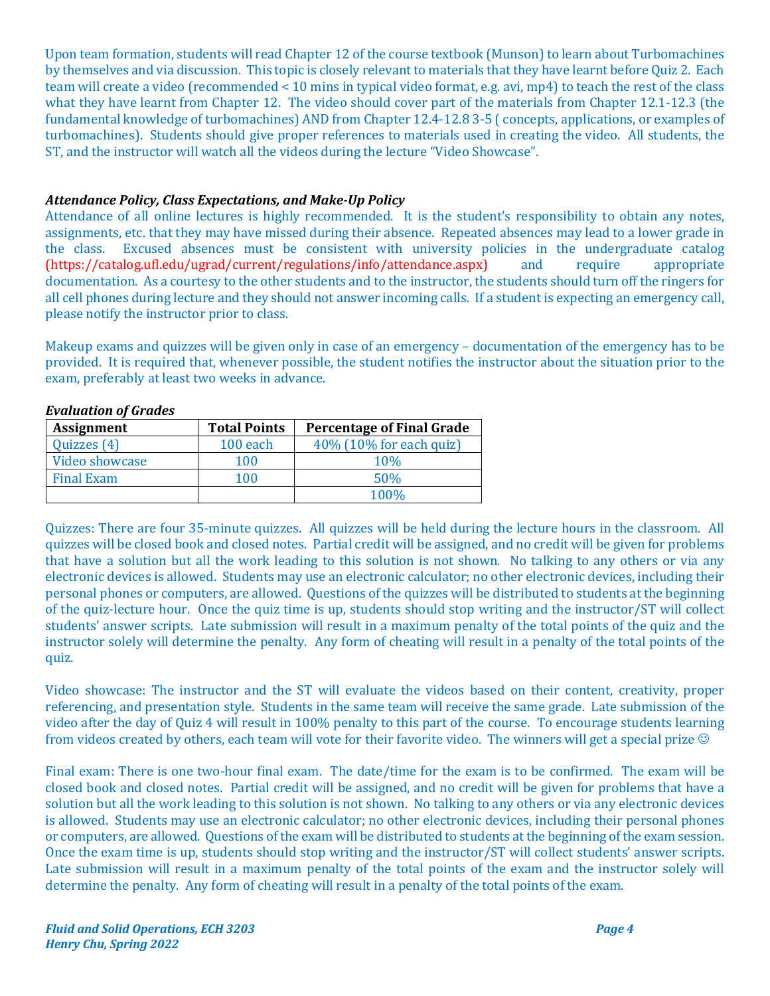Upon team formation, students will read Chapter 12 of the course textbook (Munson) to learn about Turbomachines by themselves and via discussion. This topic is closely relevant to materials that they have learnt before Ouiz 2. Each team will create a video (recommended < 10 mins in typical video format, e.g. avi, mp4) to teach the rest of the class what they have learnt from Chapter 12. The video should cover part of the materials from Chapter 12.1-12.3 (the fundamental knowledge of turbomachines) AND from Chapter 12.4-12.8 3-5 ( concepts, applications, or examples of turbomachines). Students should give proper references to materials used in creating the video. All students, the ST, and the instructor will watch all the videos during the lecture "Video Showcase".

## Attendance Policy, Class Expectations, and Make-Up Policy

Attendance of all online lectures is highly recommended. It is the student's responsibility to obtain any notes, assignments, etc. that they may have missed during their absence. Repeated absences may lead to a lower grade in the class. Excused absences must be consistent with university policies in the undergraduate catalog (https://catalog.ufl.edu/ugrad/current/regulations/info/attendance.aspx) and require appropriate documentation. As a courtesy to the other students and to the instructor, the students should turn off the ringers for all cell phones during lecture and they should not answer incoming calls. If a student is expecting an emergency call, please notify the instructor prior to class.

Makeup exams and quizzes will be given only in case of an emergency – documentation of the emergency has to be provided. It is required that, whenever possible, the student notifies the instructor about the situation prior to the exam, preferably at least two weeks in advance.

| <b>Assignment</b> | <b>Total Points</b> | <b>Percentage of Final Grade</b> |
|-------------------|---------------------|----------------------------------|
| Quizzes (4)       | $100$ each          | 40% (10% for each quiz)          |
| Video showcase    | 100                 | 10%                              |
| <b>Final Exam</b> | 100                 | 50%                              |
|                   |                     | 100%                             |

*Evaluation of Grades*

Quizzes: There are four 35-minute quizzes. All quizzes will be held during the lecture hours in the classroom. All quizzes will be closed book and closed notes. Partial credit will be assigned, and no credit will be given for problems that have a solution but all the work leading to this solution is not shown. No talking to any others or via any electronic devices is allowed. Students may use an electronic calculator; no other electronic devices, including their personal phones or computers, are allowed. Questions of the quizzes will be distributed to students at the beginning of the quiz-lecture hour. Once the quiz time is up, students should stop writing and the instructor/ST will collect students' answer scripts. Late submission will result in a maximum penalty of the total points of the quiz and the instructor solely will determine the penalty. Any form of cheating will result in a penalty of the total points of the quiz.

Video showcase: The instructor and the ST will evaluate the videos based on their content, creativity, proper referencing, and presentation style. Students in the same team will receive the same grade. Late submission of the video after the day of Quiz 4 will result in 100% penalty to this part of the course. To encourage students learning from videos created by others, each team will vote for their favorite video. The winners will get a special prize  $\odot$ 

Final exam: There is one two-hour final exam. The date/time for the exam is to be confirmed. The exam will be closed book and closed notes. Partial credit will be assigned, and no credit will be given for problems that have a solution but all the work leading to this solution is not shown. No talking to any others or via any electronic devices is allowed. Students may use an electronic calculator; no other electronic devices, including their personal phones or computers, are allowed. Questions of the exam will be distributed to students at the beginning of the exam session. Once the exam time is up, students should stop writing and the instructor/ST will collect students' answer scripts. Late submission will result in a maximum penalty of the total points of the exam and the instructor solely will determine the penalty. Any form of cheating will result in a penalty of the total points of the exam.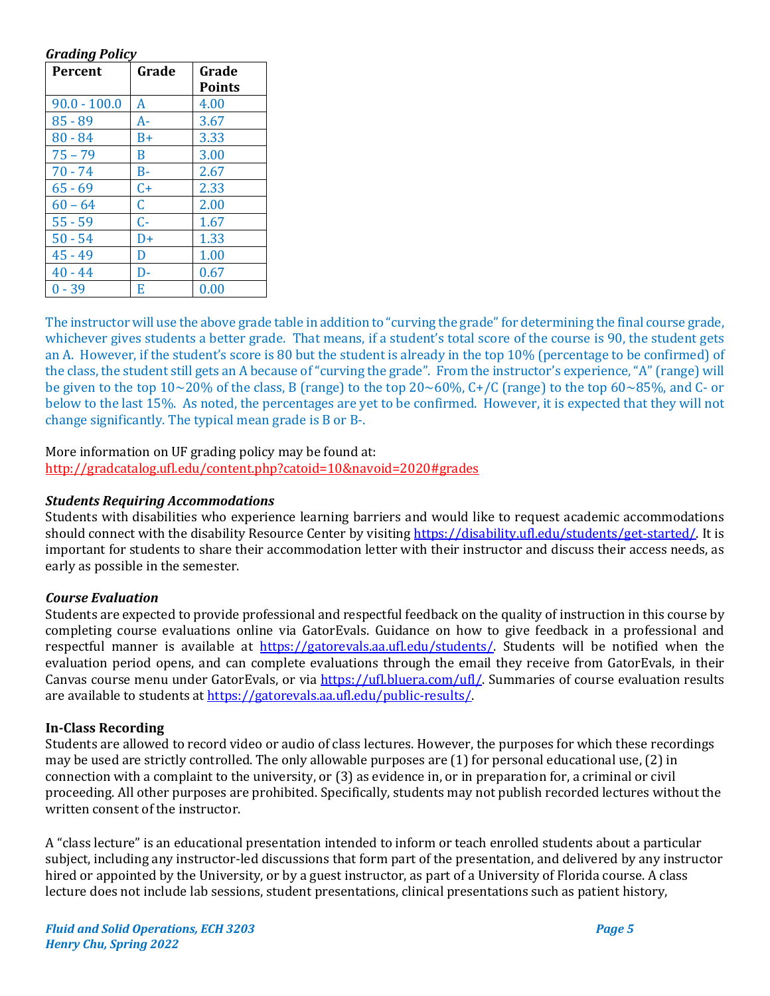#### *Grading Policy*

| Percent        | Grade | Grade<br><b>Points</b> |
|----------------|-------|------------------------|
| $90.0 - 100.0$ | A     | 4.00                   |
| $85 - 89$      | A-    | 3.67                   |
| $80 - 84$      | $B+$  | 3.33                   |
| $75 - 79$      | B     | 3.00                   |
| $70 - 74$      | $B -$ | 2.67                   |
| $65 - 69$      | $C+$  | 2.33                   |
| $60 - 64$      | C.    | 2.00                   |
| $55 - 59$      | C-    | 1.67                   |
| $50 - 54$      | $D+$  | 1.33                   |
| $45 - 49$      | D     | 1.00                   |
| $40 - 44$      | D-    | 0.67                   |
| $0 - 39$       | E     | 0.00                   |

The instructor will use the above grade table in addition to "curving the grade" for determining the final course grade, whichever gives students a better grade. That means, if a student's total score of the course is 90, the student gets an A. However, if the student's score is 80 but the student is already in the top 10% (percentage to be confirmed) of the class, the student still gets an A because of "curving the grade". From the instructor's experience, "A" (range) will be given to the top  $10~20\%$  of the class, B (range) to the top  $20~60\%$ , C+/C (range) to the top  $60~85\%$ , and C- or below to the last 15%. As noted, the percentages are yet to be confirmed. However, it is expected that they will not change significantly. The typical mean grade is  $B$  or  $B$ -.

## More information on UF grading policy may be found at:

http://gradcatalog.ufl.edu/content.php?catoid=10&navoid=2020#grades

#### *Students Requiring Accommodations*

Students with disabilities who experience learning barriers and would like to request academic accommodations should connect with the disability Resource Center by visiting https://disability.ufl.edu/students/get-started/. It is important for students to share their accommodation letter with their instructor and discuss their access needs, as early as possible in the semester.

#### *Course Evaluation*

Students are expected to provide professional and respectful feedback on the quality of instruction in this course by completing course evaluations online via GatorEvals. Guidance on how to give feedback in a professional and respectful manner is available at  $\frac{https://gatorevals.aa.ufl.edu/students/}{https://gatorevals.aa.ufl.edu/students/}.$  Students will be notified when the evaluation period opens, and can complete evaluations through the email they receive from GatorEvals, in their Canvas course menu under GatorEvals, or via https://ufl.bluera.com/ufl/. Summaries of course evaluation results are available to students at https://gatorevals.aa.ufl.edu/public-results/.

#### **In-Class Recording**

Students are allowed to record video or audio of class lectures. However, the purposes for which these recordings may be used are strictly controlled. The only allowable purposes are (1) for personal educational use, (2) in connection with a complaint to the university, or  $(3)$  as evidence in, or in preparation for, a criminal or civil proceeding. All other purposes are prohibited. Specifically, students may not publish recorded lectures without the written consent of the instructor.

A "class lecture" is an educational presentation intended to inform or teach enrolled students about a particular subject, including any instructor-led discussions that form part of the presentation, and delivered by any instructor hired or appointed by the University, or by a guest instructor, as part of a University of Florida course. A class lecture does not include lab sessions, student presentations, clinical presentations such as patient history,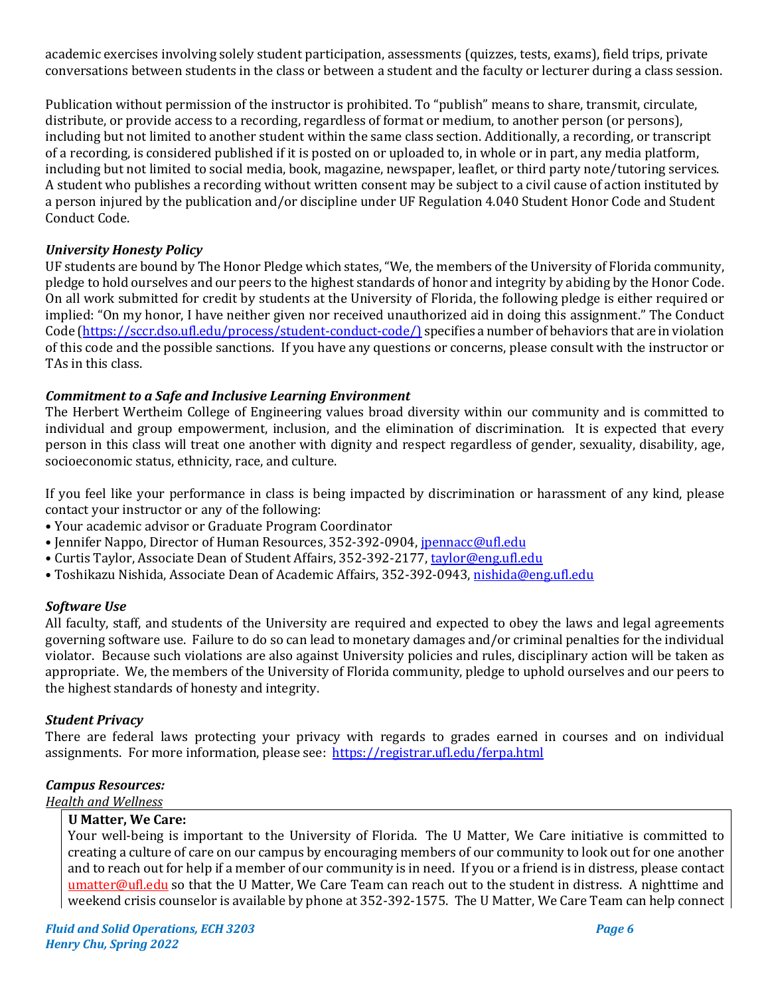academic exercises involving solely student participation, assessments (quizzes, tests, exams), field trips, private conversations between students in the class or between a student and the faculty or lecturer during a class session.

Publication without permission of the instructor is prohibited. To "publish" means to share, transmit, circulate, distribute, or provide access to a recording, regardless of format or medium, to another person (or persons), including but not limited to another student within the same class section. Additionally, a recording, or transcript of a recording, is considered published if it is posted on or uploaded to, in whole or in part, any media platform, including but not limited to social media, book, magazine, newspaper, leaflet, or third party note/tutoring services. A student who publishes a recording without written consent may be subject to a civil cause of action instituted by a person injured by the publication and/or discipline under UF Regulation 4.040 Student Honor Code and Student Conduct Code.

## *University Honesty Policy*

UF students are bound by The Honor Pledge which states, "We, the members of the University of Florida community, pledge to hold ourselves and our peers to the highest standards of honor and integrity by abiding by the Honor Code. On all work submitted for credit by students at the University of Florida, the following pledge is either required or implied: "On my honor, I have neither given nor received unauthorized aid in doing this assignment." The Conduct Code  $[https://sccr.dso.ufl.edu/process/student-conduct-code/]$  specifies a number of behaviors that are in violation of this code and the possible sanctions. If you have any questions or concerns, please consult with the instructor or TAs in this class.

## **Commitment to a Safe and Inclusive Learning Environment**

The Herbert Wertheim College of Engineering values broad diversity within our community and is committed to individual and group empowerment, inclusion, and the elimination of discrimination. It is expected that every person in this class will treat one another with dignity and respect regardless of gender, sexuality, disability, age, socioeconomic status, ethnicity, race, and culture.

If you feel like your performance in class is being impacted by discrimination or harassment of any kind, please contact your instructor or any of the following:

- Your academic advisor or Graduate Program Coordinator
- Jennifer Nappo, Director of Human Resources, 352-392-0904, jpennacc@ufl.edu
- Curtis Taylor, Associate Dean of Student Affairs, 352-392-2177, taylor@eng.ufl.edu
- · Toshikazu Nishida, Associate Dean of Academic Affairs, 352-392-0943, nishida@eng.ufl.edu

## *Software Use*

All faculty, staff, and students of the University are required and expected to obey the laws and legal agreements governing software use. Failure to do so can lead to monetary damages and/or criminal penalties for the individual violator. Because such violations are also against University policies and rules, disciplinary action will be taken as appropriate. We, the members of the University of Florida community, pledge to uphold ourselves and our peers to the highest standards of honesty and integrity.

## *Student Privacy*

There are federal laws protecting your privacy with regards to grades earned in courses and on individual assignments. For more information, please see: https://registrar.ufl.edu/ferpa.html

## *Campus Resources:*

## **Health and Wellness**

## **U Matter, We Care:**

Your well-being is important to the University of Florida. The U Matter, We Care initiative is committed to creating a culture of care on our campus by encouraging members of our community to look out for one another and to reach out for help if a member of our community is in need. If you or a friend is in distress, please contact umatter@ufl.edu so that the U Matter, We Care Team can reach out to the student in distress. A nighttime and weekend crisis counselor is available by phone at 352-392-1575. The U Matter, We Care Team can help connect